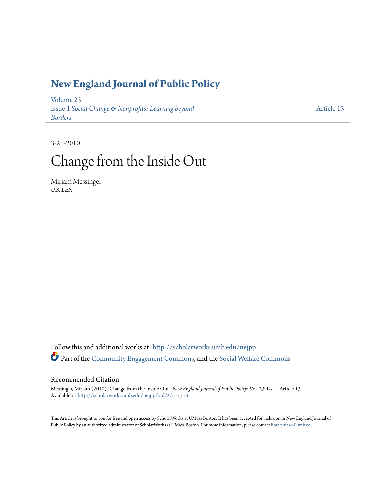### **[New England Journal of Public Policy](http://scholarworks.umb.edu/nejpp?utm_source=scholarworks.umb.edu%2Fnejpp%2Fvol23%2Fiss1%2F13&utm_medium=PDF&utm_campaign=PDFCoverPages)**

[Volume 23](http://scholarworks.umb.edu/nejpp/vol23?utm_source=scholarworks.umb.edu%2Fnejpp%2Fvol23%2Fiss1%2F13&utm_medium=PDF&utm_campaign=PDFCoverPages) Issue 1 *[Social Change & Nonprofits: Learning beyond](http://scholarworks.umb.edu/nejpp/vol23/iss1?utm_source=scholarworks.umb.edu%2Fnejpp%2Fvol23%2Fiss1%2F13&utm_medium=PDF&utm_campaign=PDFCoverPages) [Borders](http://scholarworks.umb.edu/nejpp/vol23/iss1?utm_source=scholarworks.umb.edu%2Fnejpp%2Fvol23%2Fiss1%2F13&utm_medium=PDF&utm_campaign=PDFCoverPages)*

[Article 13](http://scholarworks.umb.edu/nejpp/vol23/iss1/13?utm_source=scholarworks.umb.edu%2Fnejpp%2Fvol23%2Fiss1%2F13&utm_medium=PDF&utm_campaign=PDFCoverPages)

3-21-2010

# Change from the Inside Out

Miriam Messinger *U.S. LEN*

Follow this and additional works at: [http://scholarworks.umb.edu/nejpp](http://scholarworks.umb.edu/nejpp?utm_source=scholarworks.umb.edu%2Fnejpp%2Fvol23%2Fiss1%2F13&utm_medium=PDF&utm_campaign=PDFCoverPages) Part of the [Community Engagement Commons](http://network.bepress.com/hgg/discipline/1028?utm_source=scholarworks.umb.edu%2Fnejpp%2Fvol23%2Fiss1%2F13&utm_medium=PDF&utm_campaign=PDFCoverPages), and the [Social Welfare Commons](http://network.bepress.com/hgg/discipline/401?utm_source=scholarworks.umb.edu%2Fnejpp%2Fvol23%2Fiss1%2F13&utm_medium=PDF&utm_campaign=PDFCoverPages)

#### Recommended Citation

Messinger, Miriam (2010) "Change from the Inside Out," *New England Journal of Public Policy*: Vol. 23: Iss. 1, Article 13. Available at: [http://scholarworks.umb.edu/nejpp/vol23/iss1/13](http://scholarworks.umb.edu/nejpp/vol23/iss1/13?utm_source=scholarworks.umb.edu%2Fnejpp%2Fvol23%2Fiss1%2F13&utm_medium=PDF&utm_campaign=PDFCoverPages)

This Article is brought to you for free and open access by ScholarWorks at UMass Boston. It has been accepted for inclusion in New England Journal of Public Policy by an authorized administrator of ScholarWorks at UMass Boston. For more information, please contact [library.uasc@umb.edu](mailto:library.uasc@umb.edu).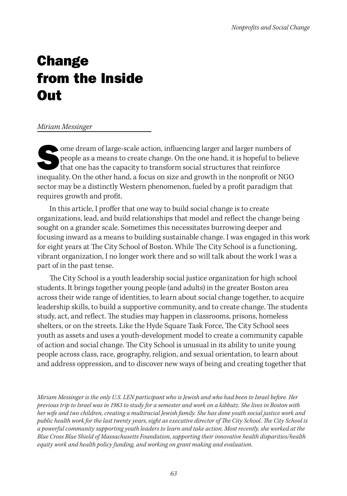## **Change** from the Inside **Out**

#### *Miriam Messinger*

 $\bullet$  ome dream of large-scale action, influencing larger and larger numbers of people as a means to create change. On the one hand, it is hopeful to believe that one has the capacity to transform social structures that reinforce inequality. On the other hand, a focus on size and growth in the nonprofit or NGO sector may be a distinctly Western phenomenon, fueled by a profit paradigm that requires growth and profit.

In this article, I proffer that one way to build social change is to create organizations, lead, and build relationships that model and reflect the change being sought on a grander scale. Sometimes this necessitates burrowing deeper and focusing inward as a means to building sustainable change. I was engaged in this work for eight years at The City School of Boston. While The City School is a functioning, vibrant organization, I no longer work there and so will talk about the work I was a part of in the past tense.

The City School is a youth leadership social justice organization for high school students. It brings together young people (and adults) in the greater Boston area across their wide range of identities, to learn about social change together, to acquire leadership skills, to build a supportive community, and to create change. The students study, act, and reflect. The studies may happen in classrooms, prisons, homeless shelters, or on the streets. Like the Hyde Square Task Force, The City School sees youth as assets and uses a youth-development model to create a community capable of action and social change. The City School is unusual in its ability to unite young people across class, race, geography, religion, and sexual orientation, to learn about and address oppression, and to discover new ways of being and creating together that

*Miriam Messinger is the only U.S. LEN participant who is Jewish and who had been to Israel before. Her previous trip to Israel was in 1983 to study for a semester and work on a kibbutz. She lives in Boston with her wife and two children, creating a multiracial Jewish family. She has done youth social justice work and public health work for the last twenty years, eight as executive director of The City School. The City School is a powerful community supporting youth leaders to learn and take action. Most recently, she worked at the Blue Cross Blue Shield of Massachusetts Foundation, supporting their innovative health disparities/health equity work and health policy funding, and working on grant making and evaluation.*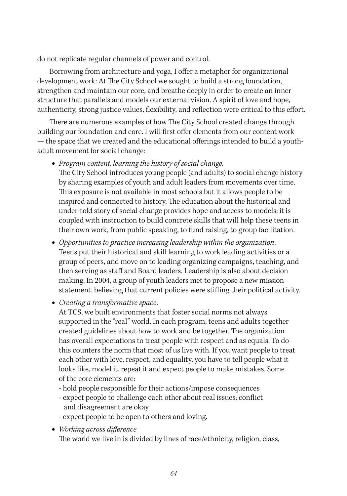do not replicate regular channels of power and control.

Borrowing from architecture and yoga, I offer a metaphor for organizational development work: At The City School we sought to build a strong foundation, strengthen and maintain our core, and breathe deeply in order to create an inner structure that parallels and models our external vision. A spirit of love and hope, authenticity, strong justice values, flexibility, and reflection were critical to this effort.

There are numerous examples of how The City School created change through building our foundation and core. I will first offer elements from our content work — the space that we created and the educational offerings intended to build a youthadult movement for social change:

- **•** *Program content: learning the history of social change.*  The City School introduces young people (and adults) to social change history by sharing examples of youth and adult leaders from movements over time. This exposure is not available in most schools but it allows people to be inspired and connected to history. The education about the historical and under-told story of social change provides hope and access to models; it is coupled with instruction to build concrete skills that will help these teens in their own work, from public speaking, to fund raising, to group facilitation.
- **•** *Opportunities to practice increasing leadership within the organization*. Teens put their historical and skill learning to work leading activities or a group of peers, and move on to leading organizing campaigns, teaching, and then serving as staff and Board leaders. Leadership is also about decision making. In 2004, a group of youth leaders met to propose a new mission statement, believing that current policies were stifling their political activity.
- **•** *Creating a transformative space*.

At TCS, we built environments that foster social norms not always supported in the "real" world. In each program, teens and adults together created guidelines about how to work and be together. The organization has overall expectations to treat people with respect and as equals. To do this counters the norm that most of us live with. If you want people to treat each other with love, respect, and equality, you have to tell people what it looks like, model it, repeat it and expect people to make mistakes. Some of the core elements are:

- hold people responsible for their actions/impose consequences
- expect people to challenge each other about real issues; conflict and disagreement are okay
- expect people to be open to others and loving.

**•** *Working across difference*

The world we live in is divided by lines of race/ethnicity, religion, class,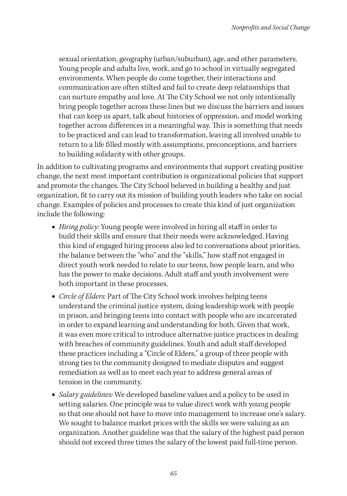sexual orientation, geography (urban/suburban), age, and other parameters. Young people and adults live, work, and go to school in virtually segregated environments. When people do come together, their interactions and communication are often stilted and fail to create deep relationships that can nurture empathy and love. At The City School we not only intentionally bring people together across these lines but we discuss the barriers and issues that can keep us apart, talk about histories of oppression, and model working together across differences in a meaningful way. This is something that needs to be practiced and can lead to transformation, leaving all involved unable to return to a life filled mostly with assumptions, preconceptions, and barriers to building solidarity with other groups.

In addition to cultivating programs and environments that support creating positive change, the next most important contribution is organizational policies that support and promote the changes. The City School believed in building a healthy and just organization, fit to carry out its mission of building youth leaders who take on social change. Examples of policies and processes to create this kind of just organization include the following:

- **•** *Hiring policy:* Young people were involved in hiring all staff in order to build their skills and ensure that their needs were acknowledged. Having this kind of engaged hiring process also led to conversations about priorities, the balance between the "who" and the "skills," how staff not engaged in direct youth work needed to relate to our teens, how people learn, and who has the power to make decisions. Adult staff and youth involvement were both important in these processes.
- **•** *Circle of Elders:* Part of The City School work involves helping teens understand the criminal justice system, doing leadership work with people in prison, and bringing teens into contact with people who are incarcerated in order to expand learning and understanding for both. Given that work, it was even more critical to introduce alternative justice practices in dealing with breaches of community guidelines. Youth and adult staff developed these practices including a "Circle of Elders," a group of three people with strong ties to the community designed to mediate disputes and suggest remediation as well as to meet each year to address general areas of tension in the community.
- **•** *Salary guidelines:* We developed baseline values and a policy to be used in setting salaries. One principle was to value direct work with young people so that one should not have to move into management to increase one's salary. We sought to balance market prices with the skills we were valuing as an organization. Another guideline was that the salary of the highest paid person should not exceed three times the salary of the lowest paid full-time person.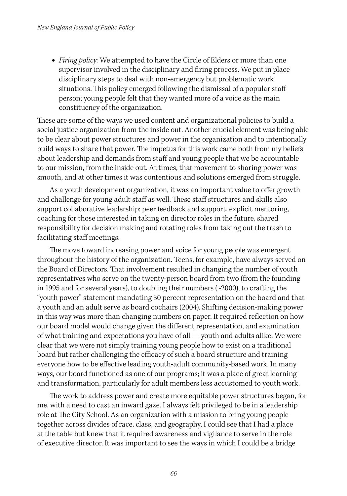**•** *Firing policy:* We attempted to have the Circle of Elders or more than one supervisor involved in the disciplinary and firing process. We put in place disciplinary steps to deal with non-emergency but problematic work situations. This policy emerged following the dismissal of a popular staff person; young people felt that they wanted more of a voice as the main constituency of the organization.

These are some of the ways we used content and organizational policies to build a social justice organization from the inside out. Another crucial element was being able to be clear about power structures and power in the organization and to intentionally build ways to share that power. The impetus for this work came both from my beliefs about leadership and demands from staff and young people that we be accountable to our mission, from the inside out. At times, that movement to sharing power was smooth, and at other times it was contentious and solutions emerged from struggle.

As a youth development organization, it was an important value to offer growth and challenge for young adult staff as well. These staff structures and skills also support collaborative leadership: peer feedback and support, explicit mentoring, coaching for those interested in taking on director roles in the future, shared responsibility for decision making and rotating roles from taking out the trash to facilitating staff meetings.

The move toward increasing power and voice for young people was emergent throughout the history of the organization. Teens, for example, have always served on the Board of Directors. That involvement resulted in changing the number of youth representatives who serve on the twenty-person board from two (from the founding in 1995 and for several years), to doubling their numbers (~2000), to crafting the "youth power" statement mandating 30 percent representation on the board and that a youth and an adult serve as board cochairs (2004). Shifting decision-making power in this way was more than changing numbers on paper. It required reflection on how our board model would change given the different representation, and examination of what training and expectations you have of all — youth and adults alike. We were clear that we were not simply training young people how to exist on a traditional board but rather challenging the efficacy of such a board structure and training everyone how to be effective leading youth-adult community-based work. In many ways, our board functioned as one of our programs; it was a place of great learning and transformation, particularly for adult members less accustomed to youth work.

The work to address power and create more equitable power structures began, for me, with a need to cast an inward gaze. I always felt privileged to be in a leadership role at The City School. As an organization with a mission to bring young people together across divides of race, class, and geography, I could see that I had a place at the table but knew that it required awareness and vigilance to serve in the role of executive director. It was important to see the ways in which I could be a bridge